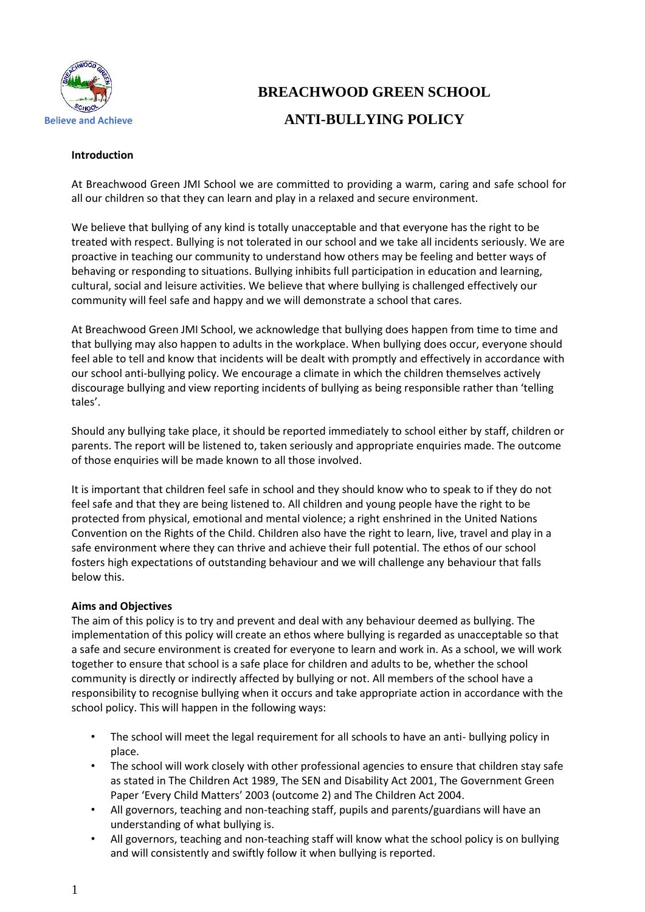

# **BREACHWOOD GREEN SCHOOL ANTI-BULLYING POLICY**

#### **Introduction**

At Breachwood Green JMI School we are committed to providing a warm, caring and safe school for all our children so that they can learn and play in a relaxed and secure environment.

We believe that bullying of any kind is totally unacceptable and that everyone has the right to be treated with respect. Bullying is not tolerated in our school and we take all incidents seriously. We are proactive in teaching our community to understand how others may be feeling and better ways of behaving or responding to situations. Bullying inhibits full participation in education and learning, cultural, social and leisure activities. We believe that where bullying is challenged effectively our community will feel safe and happy and we will demonstrate a school that cares.

At Breachwood Green JMI School, we acknowledge that bullying does happen from time to time and that bullying may also happen to adults in the workplace. When bullying does occur, everyone should feel able to tell and know that incidents will be dealt with promptly and effectively in accordance with our school anti-bullying policy. We encourage a climate in which the children themselves actively discourage bullying and view reporting incidents of bullying as being responsible rather than 'telling tales'.

Should any bullying take place, it should be reported immediately to school either by staff, children or parents. The report will be listened to, taken seriously and appropriate enquiries made. The outcome of those enquiries will be made known to all those involved.

It is important that children feel safe in school and they should know who to speak to if they do not feel safe and that they are being listened to. All children and young people have the right to be protected from physical, emotional and mental violence; a right enshrined in the United Nations Convention on the Rights of the Child. Children also have the right to learn, live, travel and play in a safe environment where they can thrive and achieve their full potential. The ethos of our school fosters high expectations of outstanding behaviour and we will challenge any behaviour that falls below this.

# **Aims and Objectives**

The aim of this policy is to try and prevent and deal with any behaviour deemed as bullying. The implementation of this policy will create an ethos where bullying is regarded as unacceptable so that a safe and secure environment is created for everyone to learn and work in. As a school, we will work together to ensure that school is a safe place for children and adults to be, whether the school community is directly or indirectly affected by bullying or not. All members of the school have a responsibility to recognise bullying when it occurs and take appropriate action in accordance with the school policy. This will happen in the following ways:

- The school will meet the legal requirement for all schools to have an anti- bullying policy in place.
- The school will work closely with other professional agencies to ensure that children stay safe as stated in The Children Act 1989, The SEN and Disability Act 2001, The Government Green Paper 'Every Child Matters' 2003 (outcome 2) and The Children Act 2004.
- All governors, teaching and non-teaching staff, pupils and parents/guardians will have an understanding of what bullying is.
- All governors, teaching and non-teaching staff will know what the school policy is on bullying and will consistently and swiftly follow it when bullying is reported.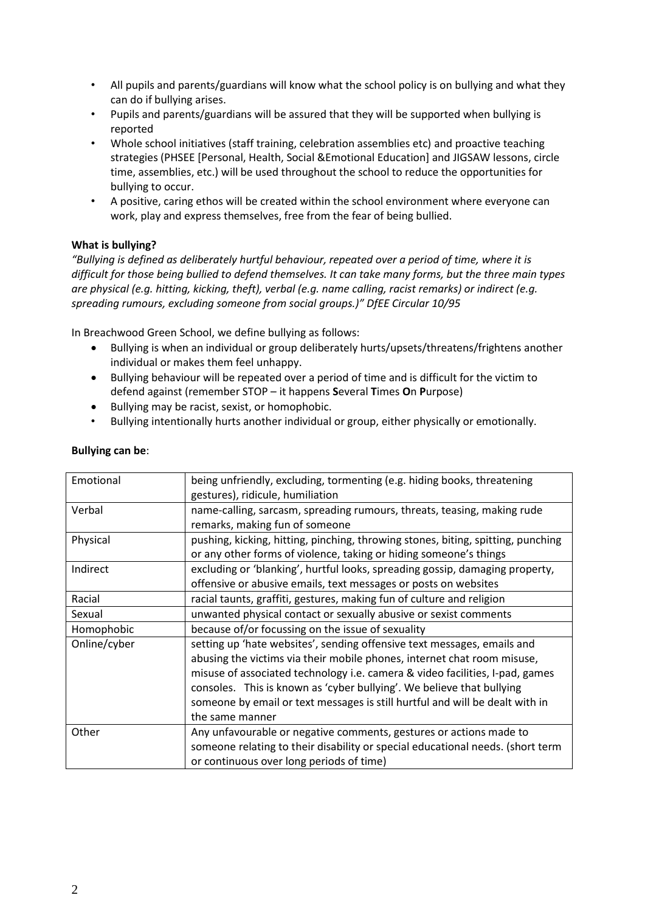- All pupils and parents/guardians will know what the school policy is on bullying and what they can do if bullying arises.
- Pupils and parents/guardians will be assured that they will be supported when bullying is reported
- Whole school initiatives (staff training, celebration assemblies etc) and proactive teaching strategies (PHSEE [Personal, Health, Social &Emotional Education] and JIGSAW lessons, circle time, assemblies, etc.) will be used throughout the school to reduce the opportunities for bullying to occur.
- A positive, caring ethos will be created within the school environment where everyone can work, play and express themselves, free from the fear of being bullied.

# **What is bullying?**

*"Bullying is defined as deliberately hurtful behaviour, repeated over a period of time, where it is difficult for those being bullied to defend themselves. It can take many forms, but the three main types are physical (e.g. hitting, kicking, theft), verbal (e.g. name calling, racist remarks) or indirect (e.g. spreading rumours, excluding someone from social groups.)" DfEE Circular 10/95*

In Breachwood Green School, we define bullying as follows:

- Bullying is when an individual or group deliberately hurts/upsets/threatens/frightens another individual or makes them feel unhappy.
- Bullying behaviour will be repeated over a period of time and is difficult for the victim to defend against (remember STOP – it happens **S**everal **T**imes **O**n **P**urpose)
- Bullying may be racist, sexist, or homophobic.
- Bullying intentionally hurts another individual or group, either physically or emotionally.

| Emotional    | being unfriendly, excluding, tormenting (e.g. hiding books, threatening          |
|--------------|----------------------------------------------------------------------------------|
|              | gestures), ridicule, humiliation                                                 |
| Verbal       | name-calling, sarcasm, spreading rumours, threats, teasing, making rude          |
|              | remarks, making fun of someone                                                   |
| Physical     | pushing, kicking, hitting, pinching, throwing stones, biting, spitting, punching |
|              | or any other forms of violence, taking or hiding someone's things                |
| Indirect     | excluding or 'blanking', hurtful looks, spreading gossip, damaging property,     |
|              | offensive or abusive emails, text messages or posts on websites                  |
| Racial       | racial taunts, graffiti, gestures, making fun of culture and religion            |
| Sexual       | unwanted physical contact or sexually abusive or sexist comments                 |
| Homophobic   | because of/or focussing on the issue of sexuality                                |
| Online/cyber | setting up 'hate websites', sending offensive text messages, emails and          |
|              | abusing the victims via their mobile phones, internet chat room misuse,          |
|              | misuse of associated technology i.e. camera & video facilities, I-pad, games     |
|              | consoles. This is known as 'cyber bullying'. We believe that bullying            |
|              | someone by email or text messages is still hurtful and will be dealt with in     |
|              | the same manner                                                                  |
| Other        | Any unfavourable or negative comments, gestures or actions made to               |
|              | someone relating to their disability or special educational needs. (short term   |
|              | or continuous over long periods of time)                                         |
|              |                                                                                  |

#### **Bullying can be**: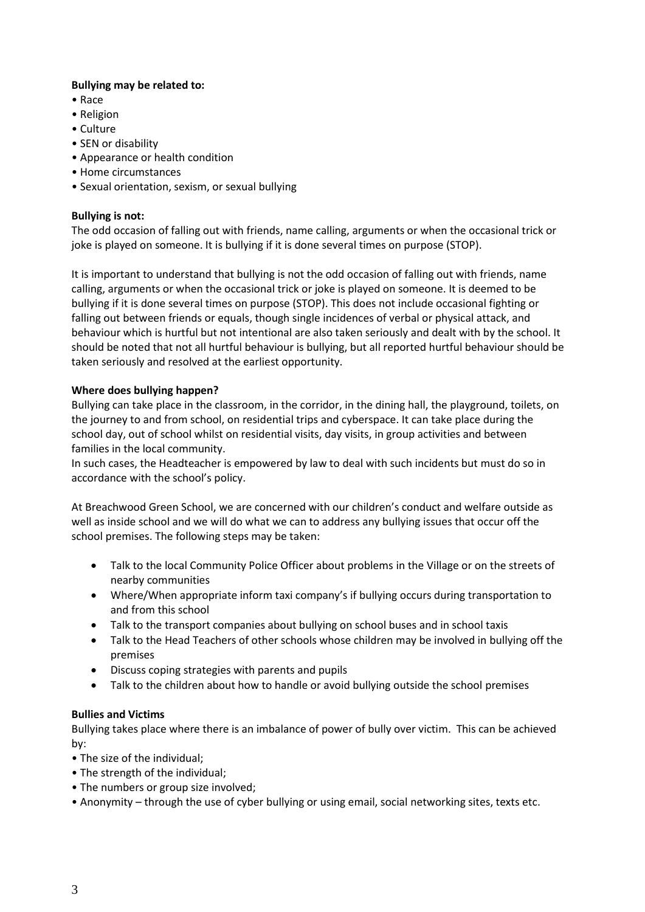# **Bullying may be related to:**

- Race
- Religion
- Culture
- SEN or disability
- Appearance or health condition
- Home circumstances
- Sexual orientation, sexism, or sexual bullying

# **Bullying is not:**

The odd occasion of falling out with friends, name calling, arguments or when the occasional trick or joke is played on someone. It is bullying if it is done several times on purpose (STOP).

It is important to understand that bullying is not the odd occasion of falling out with friends, name calling, arguments or when the occasional trick or joke is played on someone. It is deemed to be bullying if it is done several times on purpose (STOP). This does not include occasional fighting or falling out between friends or equals, though single incidences of verbal or physical attack, and behaviour which is hurtful but not intentional are also taken seriously and dealt with by the school. It should be noted that not all hurtful behaviour is bullying, but all reported hurtful behaviour should be taken seriously and resolved at the earliest opportunity.

# **Where does bullying happen?**

Bullying can take place in the classroom, in the corridor, in the dining hall, the playground, toilets, on the journey to and from school, on residential trips and cyberspace. It can take place during the school day, out of school whilst on residential visits, day visits, in group activities and between families in the local community.

In such cases, the Headteacher is empowered by law to deal with such incidents but must do so in accordance with the school's policy.

At Breachwood Green School, we are concerned with our children's conduct and welfare outside as well as inside school and we will do what we can to address any bullying issues that occur off the school premises. The following steps may be taken:

- Talk to the local Community Police Officer about problems in the Village or on the streets of nearby communities
- Where/When appropriate inform taxi company's if bullying occurs during transportation to and from this school
- Talk to the transport companies about bullying on school buses and in school taxis
- Talk to the Head Teachers of other schools whose children may be involved in bullying off the premises
- Discuss coping strategies with parents and pupils
- Talk to the children about how to handle or avoid bullying outside the school premises

# **Bullies and Victims**

Bullying takes place where there is an imbalance of power of bully over victim. This can be achieved by:

- The size of the individual;
- The strength of the individual;
- The numbers or group size involved;
- Anonymity through the use of cyber bullying or using email, social networking sites, texts etc.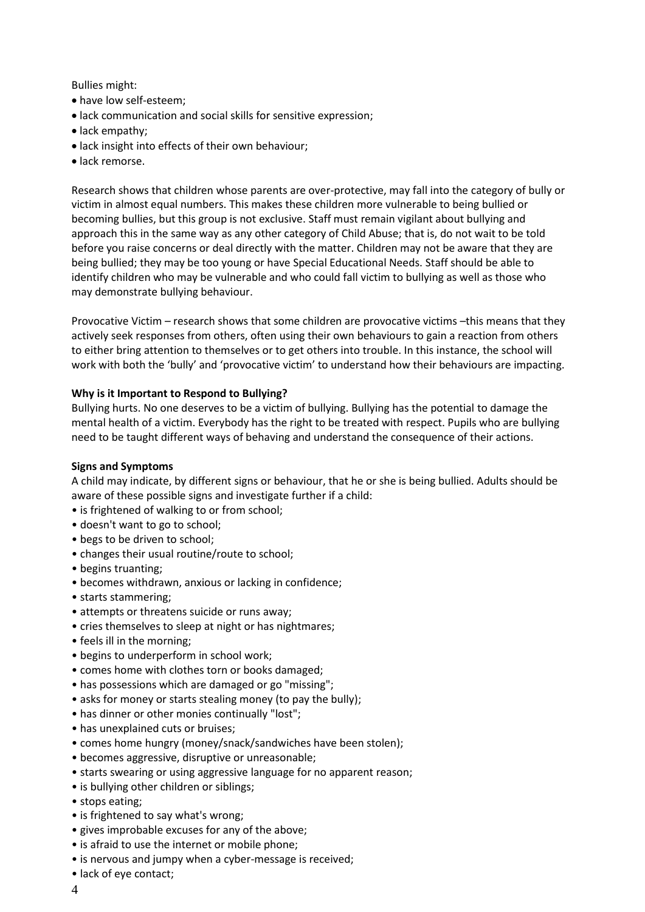Bullies might:

- have low self-esteem;
- lack communication and social skills for sensitive expression;
- lack empathy;
- lack insight into effects of their own behaviour;
- lack remorse.

Research shows that children whose parents are over-protective, may fall into the category of bully or victim in almost equal numbers. This makes these children more vulnerable to being bullied or becoming bullies, but this group is not exclusive. Staff must remain vigilant about bullying and approach this in the same way as any other category of Child Abuse; that is, do not wait to be told before you raise concerns or deal directly with the matter. Children may not be aware that they are being bullied; they may be too young or have Special Educational Needs. Staff should be able to identify children who may be vulnerable and who could fall victim to bullying as well as those who may demonstrate bullying behaviour.

Provocative Victim – research shows that some children are provocative victims –this means that they actively seek responses from others, often using their own behaviours to gain a reaction from others to either bring attention to themselves or to get others into trouble. In this instance, the school will work with both the 'bully' and 'provocative victim' to understand how their behaviours are impacting.

#### **Why is it Important to Respond to Bullying?**

Bullying hurts. No one deserves to be a victim of bullying. Bullying has the potential to damage the mental health of a victim. Everybody has the right to be treated with respect. Pupils who are bullying need to be taught different ways of behaving and understand the consequence of their actions.

#### **Signs and Symptoms**

A child may indicate, by different signs or behaviour, that he or she is being bullied. Adults should be aware of these possible signs and investigate further if a child:

- is frightened of walking to or from school;
- doesn't want to go to school;
- begs to be driven to school;
- changes their usual routine/route to school;
- begins truanting;
- becomes withdrawn, anxious or lacking in confidence;
- starts stammering;
- attempts or threatens suicide or runs away;
- cries themselves to sleep at night or has nightmares;
- feels ill in the morning;
- begins to underperform in school work;
- comes home with clothes torn or books damaged;
- has possessions which are damaged or go "missing";
- asks for money or starts stealing money (to pay the bully);
- has dinner or other monies continually "lost";
- has unexplained cuts or bruises;
- comes home hungry (money/snack/sandwiches have been stolen);
- becomes aggressive, disruptive or unreasonable;
- starts swearing or using aggressive language for no apparent reason;
- is bullying other children or siblings;
- stops eating;
- is frightened to say what's wrong;
- gives improbable excuses for any of the above;
- is afraid to use the internet or mobile phone;
- is nervous and jumpy when a cyber-message is received;
- lack of eye contact;
- 4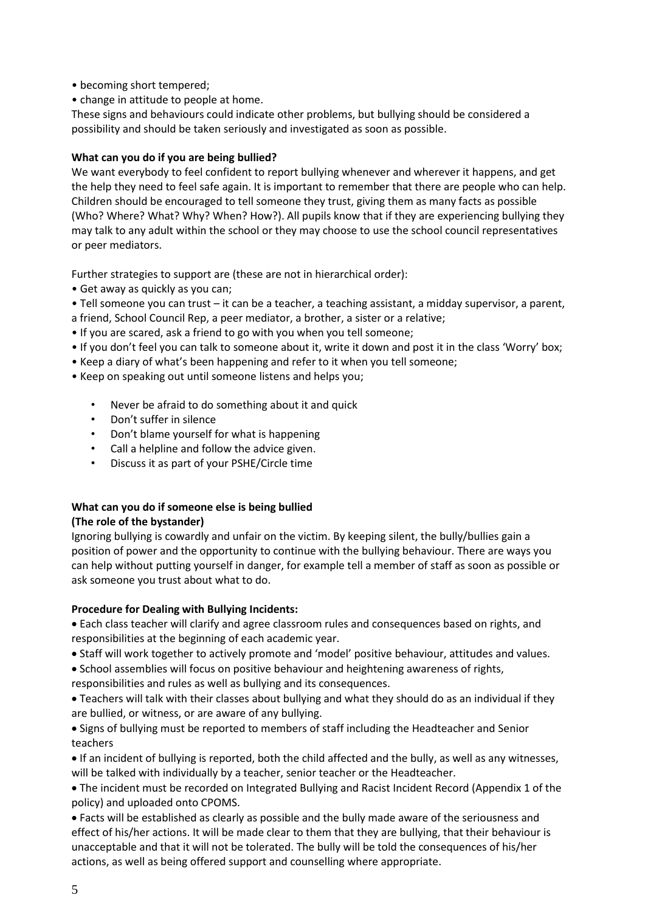- becoming short tempered;
- change in attitude to people at home.

These signs and behaviours could indicate other problems, but bullying should be considered a possibility and should be taken seriously and investigated as soon as possible.

#### **What can you do if you are being bullied?**

We want everybody to feel confident to report bullying whenever and wherever it happens, and get the help they need to feel safe again. It is important to remember that there are people who can help. Children should be encouraged to tell someone they trust, giving them as many facts as possible (Who? Where? What? Why? When? How?). All pupils know that if they are experiencing bullying they may talk to any adult within the school or they may choose to use the school council representatives or peer mediators.

Further strategies to support are (these are not in hierarchical order):

- Get away as quickly as you can;
- Tell someone you can trust it can be a teacher, a teaching assistant, a midday supervisor, a parent,
- a friend, School Council Rep, a peer mediator, a brother, a sister or a relative;
- If you are scared, ask a friend to go with you when you tell someone;
- If you don't feel you can talk to someone about it, write it down and post it in the class 'Worry' box;
- Keep a diary of what's been happening and refer to it when you tell someone;
- Keep on speaking out until someone listens and helps you;
	- Never be afraid to do something about it and quick
	- Don't suffer in silence
	- Don't blame yourself for what is happening
	- Call a helpline and follow the advice given.
	- Discuss it as part of your PSHE/Circle time

# **What can you do if someone else is being bullied**

#### **(The role of the bystander)**

Ignoring bullying is cowardly and unfair on the victim. By keeping silent, the bully/bullies gain a position of power and the opportunity to continue with the bullying behaviour. There are ways you can help without putting yourself in danger, for example tell a member of staff as soon as possible or ask someone you trust about what to do.

# **Procedure for Dealing with Bullying Incidents:**

• Each class teacher will clarify and agree classroom rules and consequences based on rights, and responsibilities at the beginning of each academic year.

- Staff will work together to actively promote and 'model' positive behaviour, attitudes and values.
- School assemblies will focus on positive behaviour and heightening awareness of rights, responsibilities and rules as well as bullying and its consequences.
- Teachers will talk with their classes about bullying and what they should do as an individual if they are bullied, or witness, or are aware of any bullying.

• Signs of bullying must be reported to members of staff including the Headteacher and Senior teachers

• If an incident of bullying is reported, both the child affected and the bully, as well as any witnesses, will be talked with individually by a teacher, senior teacher or the Headteacher.

• The incident must be recorded on Integrated Bullying and Racist Incident Record (Appendix 1 of the policy) and uploaded onto CPOMS.

• Facts will be established as clearly as possible and the bully made aware of the seriousness and effect of his/her actions. It will be made clear to them that they are bullying, that their behaviour is unacceptable and that it will not be tolerated. The bully will be told the consequences of his/her actions, as well as being offered support and counselling where appropriate.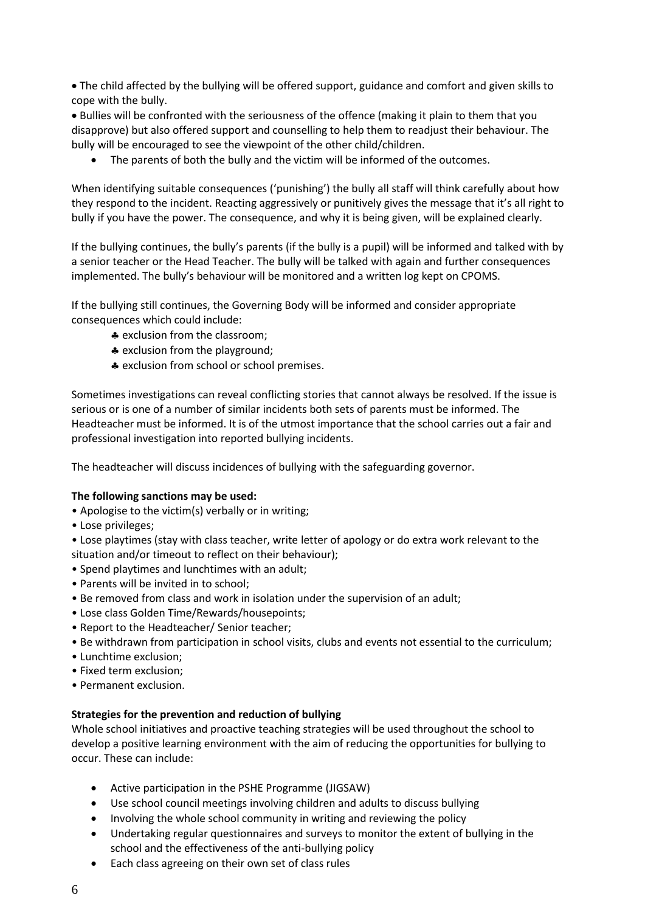• The child affected by the bullying will be offered support, guidance and comfort and given skills to cope with the bully.

• Bullies will be confronted with the seriousness of the offence (making it plain to them that you disapprove) but also offered support and counselling to help them to readjust their behaviour. The bully will be encouraged to see the viewpoint of the other child/children.

• The parents of both the bully and the victim will be informed of the outcomes.

When identifying suitable consequences ('punishing') the bully all staff will think carefully about how they respond to the incident. Reacting aggressively or punitively gives the message that it's all right to bully if you have the power. The consequence, and why it is being given, will be explained clearly.

If the bullying continues, the bully's parents (if the bully is a pupil) will be informed and talked with by a senior teacher or the Head Teacher. The bully will be talked with again and further consequences implemented. The bully's behaviour will be monitored and a written log kept on CPOMS.

If the bullying still continues, the Governing Body will be informed and consider appropriate consequences which could include:

- \* exclusion from the classroom:
- \* exclusion from the playground;
- \* exclusion from school or school premises.

Sometimes investigations can reveal conflicting stories that cannot always be resolved. If the issue is serious or is one of a number of similar incidents both sets of parents must be informed. The Headteacher must be informed. It is of the utmost importance that the school carries out a fair and professional investigation into reported bullying incidents.

The headteacher will discuss incidences of bullying with the safeguarding governor.

# **The following sanctions may be used:**

- Apologise to the victim(s) verbally or in writing;
- Lose privileges;
- Lose playtimes (stay with class teacher, write letter of apology or do extra work relevant to the situation and/or timeout to reflect on their behaviour);
- Spend playtimes and lunchtimes with an adult;
- Parents will be invited in to school;
- Be removed from class and work in isolation under the supervision of an adult;
- Lose class Golden Time/Rewards/housepoints;
- Report to the Headteacher/ Senior teacher;
- Be withdrawn from participation in school visits, clubs and events not essential to the curriculum;
- Lunchtime exclusion;
- Fixed term exclusion;
- Permanent exclusion.

# **Strategies for the prevention and reduction of bullying**

Whole school initiatives and proactive teaching strategies will be used throughout the school to develop a positive learning environment with the aim of reducing the opportunities for bullying to occur. These can include:

- Active participation in the PSHE Programme (JIGSAW)
- Use school council meetings involving children and adults to discuss bullying
- Involving the whole school community in writing and reviewing the policy
- Undertaking regular questionnaires and surveys to monitor the extent of bullying in the school and the effectiveness of the anti-bullying policy
- Each class agreeing on their own set of class rules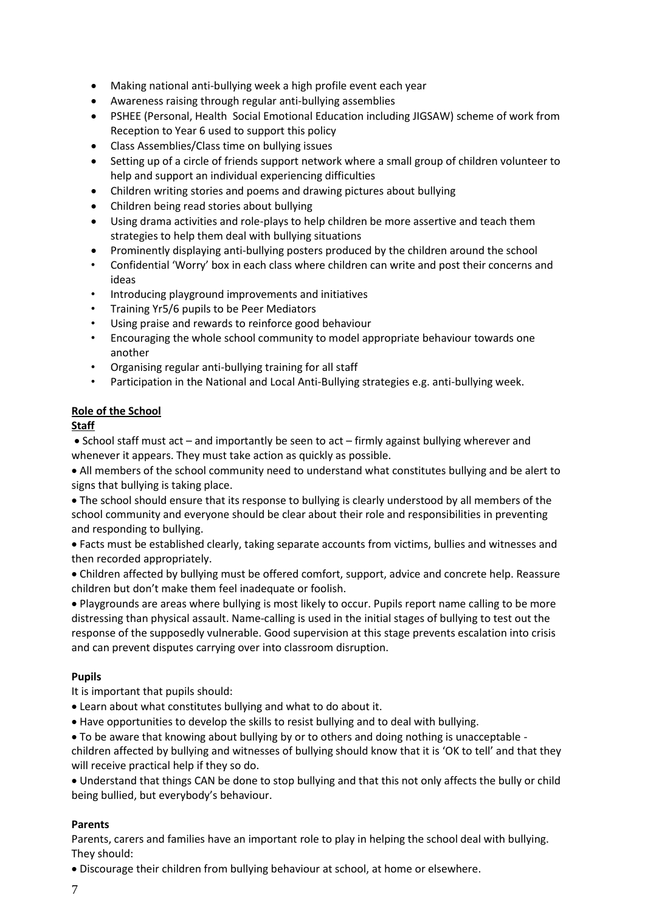- Making national anti-bullying week a high profile event each year
- Awareness raising through regular anti-bullying assemblies
- PSHEE (Personal, Health Social Emotional Education including JIGSAW) scheme of work from Reception to Year 6 used to support this policy
- Class Assemblies/Class time on bullying issues
- Setting up of a circle of friends support network where a small group of children volunteer to help and support an individual experiencing difficulties
- Children writing stories and poems and drawing pictures about bullying
- Children being read stories about bullying
- Using drama activities and role-plays to help children be more assertive and teach them strategies to help them deal with bullying situations
- Prominently displaying anti-bullying posters produced by the children around the school
- Confidential 'Worry' box in each class where children can write and post their concerns and ideas
- Introducing playground improvements and initiatives
- Training Yr5/6 pupils to be Peer Mediators
- Using praise and rewards to reinforce good behaviour
- Encouraging the whole school community to model appropriate behaviour towards one another
- Organising regular anti-bullying training for all staff
- Participation in the National and Local Anti-Bullying strategies e.g. anti-bullying week.

# **Role of the School**

# **Staff**

• School staff must act – and importantly be seen to act – firmly against bullying wherever and whenever it appears. They must take action as quickly as possible.

• All members of the school community need to understand what constitutes bullying and be alert to signs that bullying is taking place.

• The school should ensure that its response to bullying is clearly understood by all members of the school community and everyone should be clear about their role and responsibilities in preventing and responding to bullying.

• Facts must be established clearly, taking separate accounts from victims, bullies and witnesses and then recorded appropriately.

• Children affected by bullying must be offered comfort, support, advice and concrete help. Reassure children but don't make them feel inadequate or foolish.

• Playgrounds are areas where bullying is most likely to occur. Pupils report name calling to be more distressing than physical assault. Name-calling is used in the initial stages of bullying to test out the response of the supposedly vulnerable. Good supervision at this stage prevents escalation into crisis and can prevent disputes carrying over into classroom disruption.

# **Pupils**

It is important that pupils should:

- Learn about what constitutes bullying and what to do about it.
- Have opportunities to develop the skills to resist bullying and to deal with bullying.

• To be aware that knowing about bullying by or to others and doing nothing is unacceptable children affected by bullying and witnesses of bullying should know that it is 'OK to tell' and that they will receive practical help if they so do.

• Understand that things CAN be done to stop bullying and that this not only affects the bully or child being bullied, but everybody's behaviour.

# **Parents**

Parents, carers and families have an important role to play in helping the school deal with bullying. They should:

• Discourage their children from bullying behaviour at school, at home or elsewhere.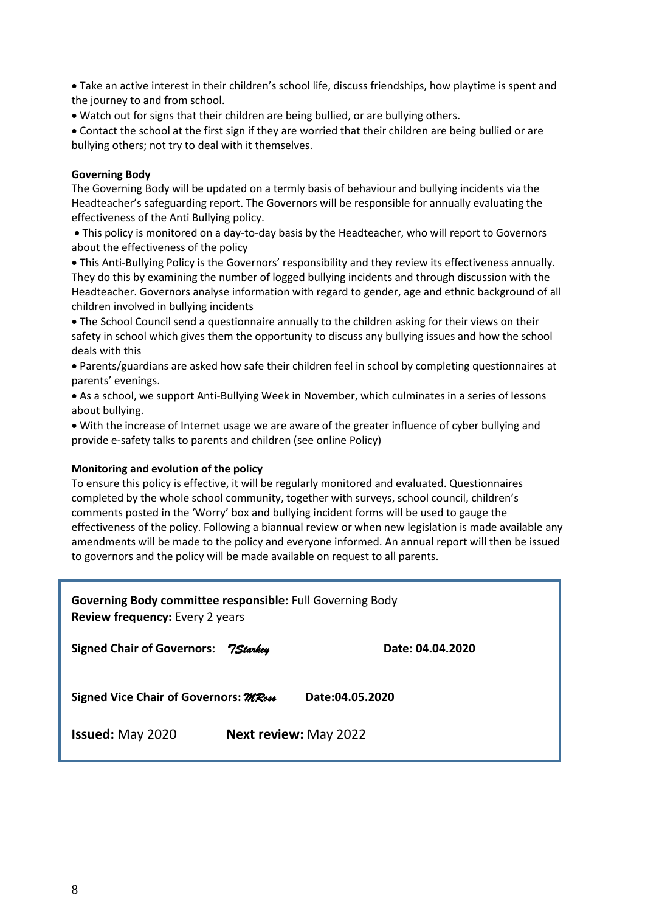• Take an active interest in their children's school life, discuss friendships, how playtime is spent and the journey to and from school.

• Watch out for signs that their children are being bullied, or are bullying others.

• Contact the school at the first sign if they are worried that their children are being bullied or are bullying others; not try to deal with it themselves.

#### **Governing Body**

The Governing Body will be updated on a termly basis of behaviour and bullying incidents via the Headteacher's safeguarding report. The Governors will be responsible for annually evaluating the effectiveness of the Anti Bullying policy.

• This policy is monitored on a day-to-day basis by the Headteacher, who will report to Governors about the effectiveness of the policy

• This Anti-Bullying Policy is the Governors' responsibility and they review its effectiveness annually. They do this by examining the number of logged bullying incidents and through discussion with the Headteacher. Governors analyse information with regard to gender, age and ethnic background of all children involved in bullying incidents

• The School Council send a questionnaire annually to the children asking for their views on their safety in school which gives them the opportunity to discuss any bullying issues and how the school deals with this

• Parents/guardians are asked how safe their children feel in school by completing questionnaires at parents' evenings.

• As a school, we support Anti-Bullying Week in November, which culminates in a series of lessons about bullying.

• With the increase of Internet usage we are aware of the greater influence of cyber bullying and provide e-safety talks to parents and children (see online Policy)

#### **Monitoring and evolution of the policy**

To ensure this policy is effective, it will be regularly monitored and evaluated. Questionnaires completed by the whole school community, together with surveys, school council, children's comments posted in the 'Worry' box and bullying incident forms will be used to gauge the effectiveness of the policy. Following a biannual review or when new legislation is made available any amendments will be made to the policy and everyone informed. An annual report will then be issued to governors and the policy will be made available on request to all parents.

| <b>Governing Body committee responsible:</b> Full Governing Body<br><b>Review frequency:</b> Every 2 years |                              |                  |  |
|------------------------------------------------------------------------------------------------------------|------------------------------|------------------|--|
| Signed Chair of Governors: 7Starkey                                                                        |                              | Date: 04.04.2020 |  |
| Signed Vice Chair of Governors: MRoss<br>Date:04.05.2020                                                   |                              |                  |  |
| <b>Issued: May 2020</b>                                                                                    | <b>Next review: May 2022</b> |                  |  |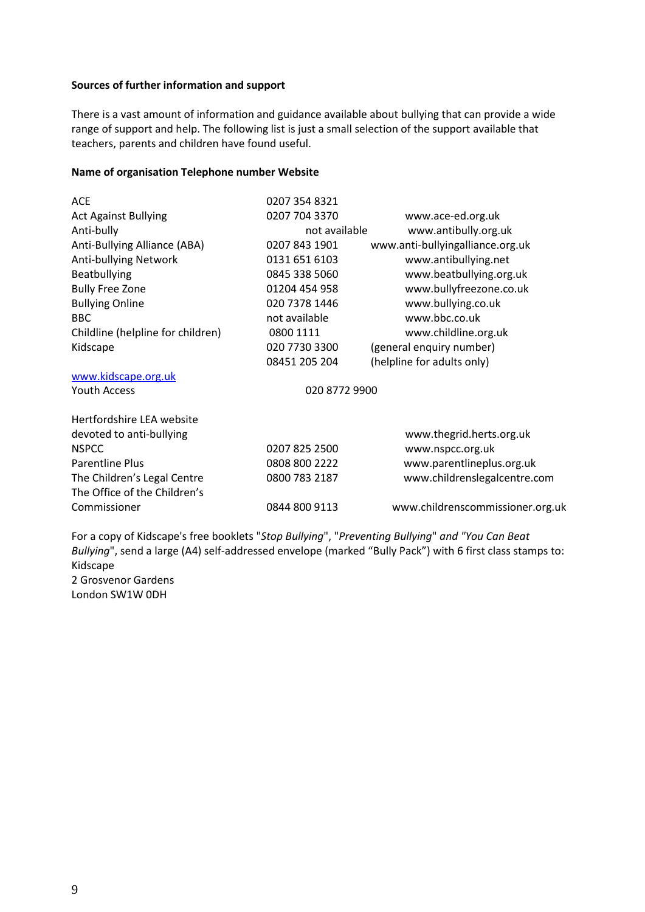#### **Sources of further information and support**

There is a vast amount of information and guidance available about bullying that can provide a wide range of support and help. The following list is just a small selection of the support available that teachers, parents and children have found useful.

#### **Name of organisation Telephone number Website**

| <b>ACE</b>                        | 0207 354 8321 |                                  |
|-----------------------------------|---------------|----------------------------------|
| <b>Act Against Bullying</b>       | 0207 704 3370 | www.ace-ed.org.uk                |
| Anti-bully                        | not available | www.antibully.org.uk             |
| Anti-Bullying Alliance (ABA)      | 0207 843 1901 | www.anti-bullyingalliance.org.uk |
| Anti-bullying Network             | 0131 651 6103 | www.antibullying.net             |
| Beatbullying                      | 0845 338 5060 | www.beatbullying.org.uk          |
| <b>Bully Free Zone</b>            | 01204 454 958 | www.bullyfreezone.co.uk          |
| <b>Bullying Online</b>            | 020 7378 1446 | www.bullying.co.uk               |
| <b>BBC</b>                        | not available | www.bbc.co.uk                    |
| Childline (helpline for children) | 0800 1111     | www.childline.org.uk             |
| Kidscape                          | 020 7730 3300 | (general enquiry number)         |
|                                   | 08451 205 204 | (helpline for adults only)       |
| www.kidscape.org.uk               |               |                                  |
| <b>Youth Access</b>               | 020 8772 9900 |                                  |
| Hertfordshire LEA website         |               |                                  |
| devoted to anti-bullying          |               | www.thegrid.herts.org.uk         |
| <b>NSPCC</b>                      | 0207 825 2500 | www.nspcc.org.uk                 |
| <b>Parentline Plus</b>            | 0808 800 2222 | www.parentlineplus.org.uk        |
| The Children's Legal Centre       | 0800 783 2187 | www.childrenslegalcentre.com     |
| The Office of the Children's      |               |                                  |
| Commissioner                      | 0844 800 9113 | www.childrenscommissioner.org.uk |
|                                   |               |                                  |

For a copy of Kidscape's free booklets "*Stop Bullying*", "*Preventing Bullying*" *and "You Can Beat Bullying*", send a large (A4) self-addressed envelope (marked "Bully Pack") with 6 first class stamps to: Kidscape 2 Grosvenor Gardens London SW1W 0DH

9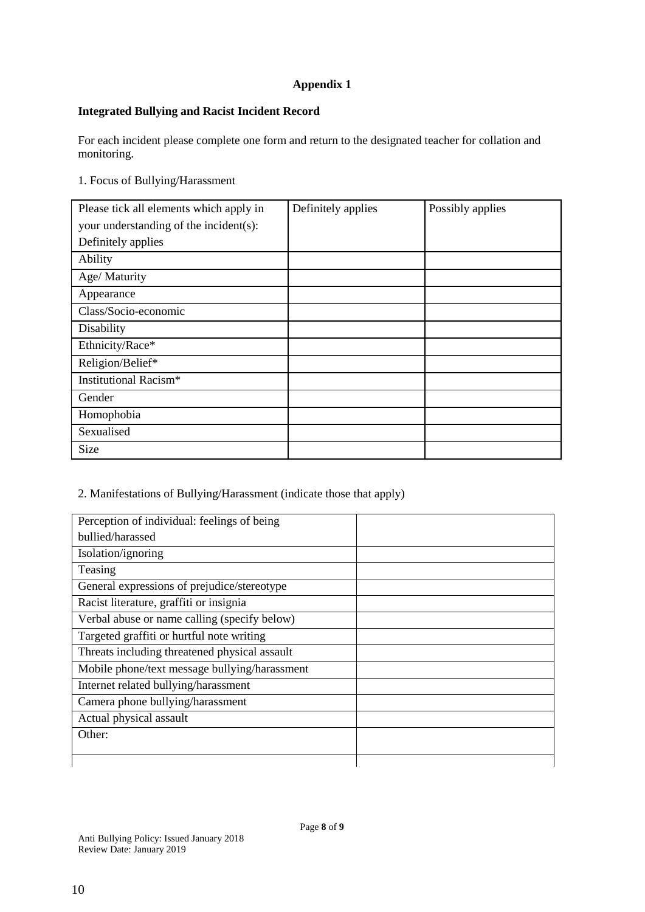# **Appendix 1**

# **Integrated Bullying and Racist Incident Record**

For each incident please complete one form and return to the designated teacher for collation and monitoring.

# 1. Focus of Bullying/Harassment

| Please tick all elements which apply in | Definitely applies | Possibly applies |
|-----------------------------------------|--------------------|------------------|
| your understanding of the incident(s):  |                    |                  |
| Definitely applies                      |                    |                  |
| Ability                                 |                    |                  |
| Age/ Maturity                           |                    |                  |
| Appearance                              |                    |                  |
| Class/Socio-economic                    |                    |                  |
| Disability                              |                    |                  |
| Ethnicity/Race*                         |                    |                  |
| Religion/Belief*                        |                    |                  |
| Institutional Racism*                   |                    |                  |
| Gender                                  |                    |                  |
| Homophobia                              |                    |                  |
| Sexualised                              |                    |                  |
| Size                                    |                    |                  |

# 2. Manifestations of Bullying/Harassment (indicate those that apply)

| Perception of individual: feelings of being   |  |
|-----------------------------------------------|--|
| bullied/harassed                              |  |
| Isolation/ignoring                            |  |
| Teasing                                       |  |
| General expressions of prejudice/stereotype   |  |
| Racist literature, graffiti or insignia       |  |
| Verbal abuse or name calling (specify below)  |  |
| Targeted graffiti or hurtful note writing     |  |
| Threats including threatened physical assault |  |
| Mobile phone/text message bullying/harassment |  |
| Internet related bullying/harassment          |  |
| Camera phone bullying/harassment              |  |
| Actual physical assault                       |  |
| Other:                                        |  |
|                                               |  |
|                                               |  |